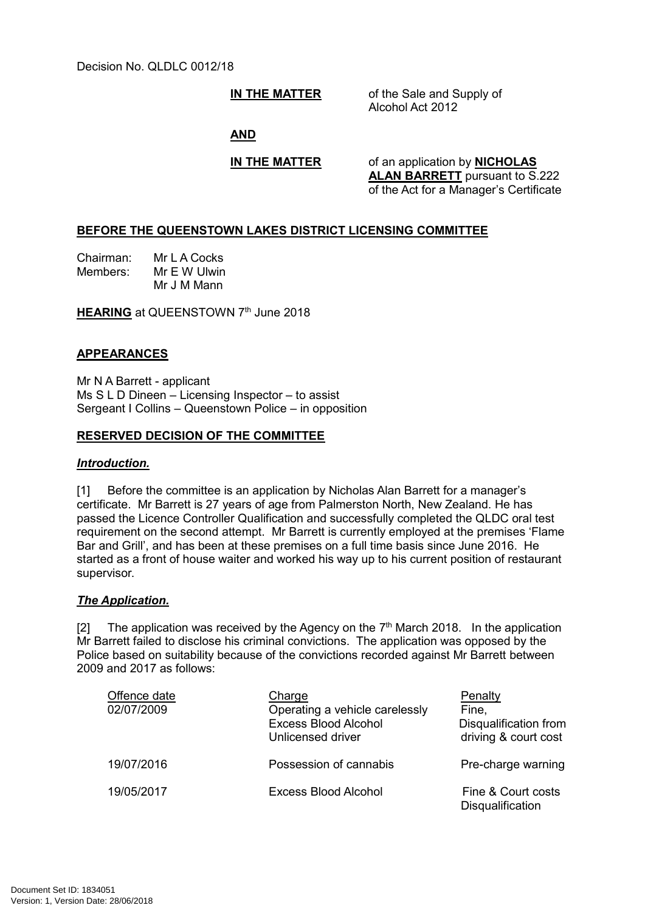**IN THE MATTER** of the Sale and Supply of Alcohol Act 2012

#### **AND**

**IN THE MATTER** of an application by **NICHOLAS ALAN BARRETT** pursuant to S.222 of the Act for a Manager's Certificate

### **BEFORE THE QUEENSTOWN LAKES DISTRICT LICENSING COMMITTEE**

Chairman: Mr L A Cocks Members: Mr E W Ulwin Mr J M Mann

**HEARING** at QUEENSTOWN 7<sup>th</sup> June 2018

#### **APPEARANCES**

Mr N A Barrett - applicant Ms S L D Dineen – Licensing Inspector – to assist Sergeant I Collins – Queenstown Police – in opposition

## **RESERVED DECISION OF THE COMMITTEE**

#### *Introduction.*

[1] Before the committee is an application by Nicholas Alan Barrett for a manager's certificate. Mr Barrett is 27 years of age from Palmerston North, New Zealand. He has passed the Licence Controller Qualification and successfully completed the QLDC oral test requirement on the second attempt. Mr Barrett is currently employed at the premises 'Flame Bar and Grill', and has been at these premises on a full time basis since June 2016. He started as a front of house waiter and worked his way up to his current position of restaurant supervisor.

#### *The Application.*

[2] The application was received by the Agency on the  $7<sup>th</sup>$  March 2018. In the application Mr Barrett failed to disclose his criminal convictions. The application was opposed by the Police based on suitability because of the convictions recorded against Mr Barrett between 2009 and 2017 as follows:

| Offence date<br>02/07/2009 | Charge<br>Operating a vehicle carelessly<br><b>Excess Blood Alcohol</b><br>Unlicensed driver | Penalty<br>Fine,<br>Disqualification from<br>driving & court cost |
|----------------------------|----------------------------------------------------------------------------------------------|-------------------------------------------------------------------|
| 19/07/2016                 | Possession of cannabis                                                                       | Pre-charge warning                                                |
| 19/05/2017                 | Excess Blood Alcohol                                                                         | Fine & Court costs<br><b>Disqualification</b>                     |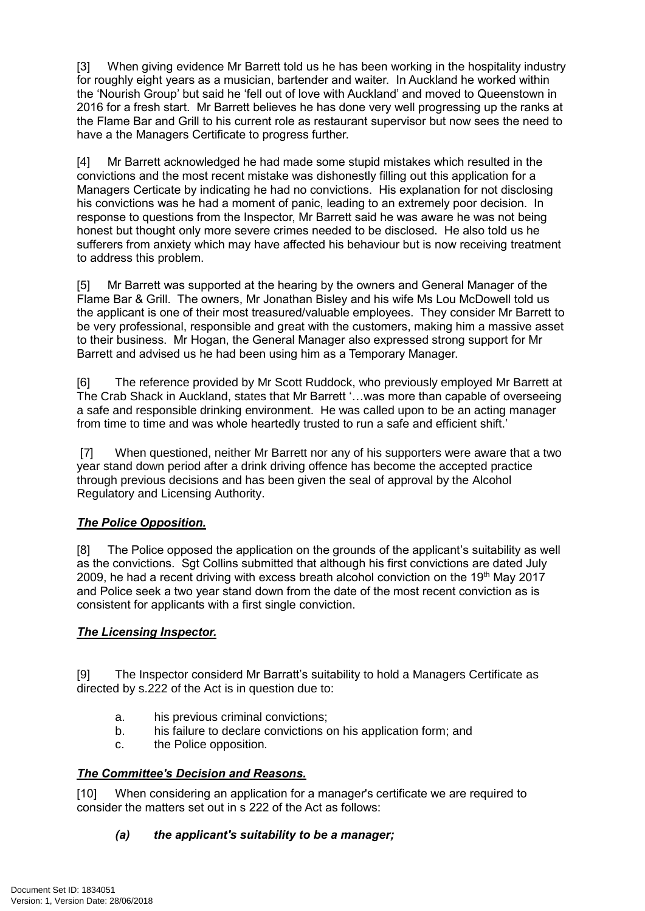[3] When giving evidence Mr Barrett told us he has been working in the hospitality industry for roughly eight years as a musician, bartender and waiter. In Auckland he worked within the 'Nourish Group' but said he 'fell out of love with Auckland' and moved to Queenstown in 2016 for a fresh start. Mr Barrett believes he has done very well progressing up the ranks at the Flame Bar and Grill to his current role as restaurant supervisor but now sees the need to have a the Managers Certificate to progress further.

[4] Mr Barrett acknowledged he had made some stupid mistakes which resulted in the convictions and the most recent mistake was dishonestly filling out this application for a Managers Certicate by indicating he had no convictions. His explanation for not disclosing his convictions was he had a moment of panic, leading to an extremely poor decision. In response to questions from the Inspector, Mr Barrett said he was aware he was not being honest but thought only more severe crimes needed to be disclosed. He also told us he sufferers from anxiety which may have affected his behaviour but is now receiving treatment to address this problem.

[5] Mr Barrett was supported at the hearing by the owners and General Manager of the Flame Bar & Grill. The owners, Mr Jonathan Bisley and his wife Ms Lou McDowell told us the applicant is one of their most treasured/valuable employees. They consider Mr Barrett to be very professional, responsible and great with the customers, making him a massive asset to their business. Mr Hogan, the General Manager also expressed strong support for Mr Barrett and advised us he had been using him as a Temporary Manager.

[6] The reference provided by Mr Scott Ruddock, who previously employed Mr Barrett at The Crab Shack in Auckland, states that Mr Barrett '…was more than capable of overseeing a safe and responsible drinking environment. He was called upon to be an acting manager from time to time and was whole heartedly trusted to run a safe and efficient shift.'

[7] When questioned, neither Mr Barrett nor any of his supporters were aware that a two year stand down period after a drink driving offence has become the accepted practice through previous decisions and has been given the seal of approval by the Alcohol Regulatory and Licensing Authority.

# *The Police Opposition.*

[8] The Police opposed the application on the grounds of the applicant's suitability as well as the convictions. Sgt Collins submitted that although his first convictions are dated July 2009, he had a recent driving with excess breath alcohol conviction on the 19th May 2017 and Police seek a two year stand down from the date of the most recent conviction as is consistent for applicants with a first single conviction.

# *The Licensing Inspector.*

[9] The Inspector considerd Mr Barratt's suitability to hold a Managers Certificate as directed by s.222 of the Act is in question due to:

- a. his previous criminal convictions;
- b. his failure to declare convictions on his application form; and
- c. the Police opposition.

# *The Committee's Decision and Reasons.*

[10] When considering an application for a manager's certificate we are required to consider the matters set out in s 222 of the Act as follows:

### *(a) the applicant's suitability to be a manager;*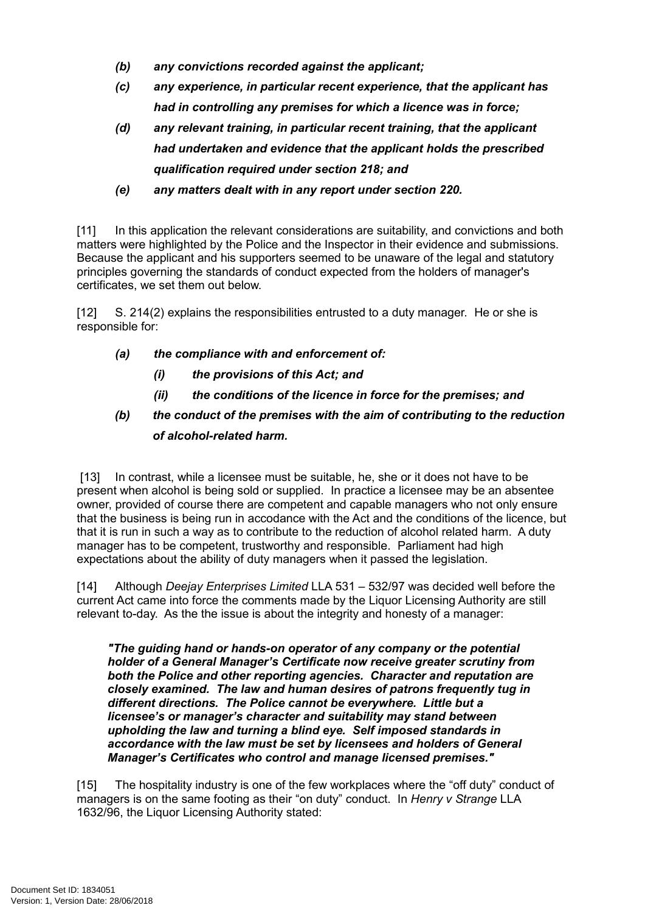- *(b) any convictions recorded against the applicant;*
- *(c) any experience, in particular recent experience, that the applicant has had in controlling any premises for which a licence was in force;*
- *(d) any relevant training, in particular recent training, that the applicant had undertaken and evidence that the applicant holds the prescribed qualification required under section 218; and*
- *(e) any matters dealt with in any report under section 220.*

[11] In this application the relevant considerations are suitability, and convictions and both matters were highlighted by the Police and the Inspector in their evidence and submissions. Because the applicant and his supporters seemed to be unaware of the legal and statutory principles governing the standards of conduct expected from the holders of manager's certificates, we set them out below.

[12] S. 214(2) explains the responsibilities entrusted to a duty manager. He or she is responsible for:

- *(a) the compliance with and enforcement of:*
	- *(i) the provisions of this Act; and*
	- *(ii) the conditions of the licence in force for the premises; and*

# *(b) the conduct of the premises with the aim of contributing to the reduction of alcohol-related harm.*

[13] In contrast, while a licensee must be suitable, he, she or it does not have to be present when alcohol is being sold or supplied. In practice a licensee may be an absentee owner, provided of course there are competent and capable managers who not only ensure that the business is being run in accodance with the Act and the conditions of the licence, but that it is run in such a way as to contribute to the reduction of alcohol related harm. A duty manager has to be competent, trustworthy and responsible. Parliament had high expectations about the ability of duty managers when it passed the legislation.

[14] Although *Deejay Enterprises Limited* LLA 531 – 532/97 was decided well before the current Act came into force the comments made by the Liquor Licensing Authority are still relevant to-day. As the the issue is about the integrity and honesty of a manager:

*"The guiding hand or hands-on operator of any company or the potential holder of a General Manager's Certificate now receive greater scrutiny from both the Police and other reporting agencies. Character and reputation are closely examined. The law and human desires of patrons frequently tug in different directions. The Police cannot be everywhere. Little but a licensee's or manager's character and suitability may stand between upholding the law and turning a blind eye. Self imposed standards in accordance with the law must be set by licensees and holders of General Manager's Certificates who control and manage licensed premises."*

[15] The hospitality industry is one of the few workplaces where the "off duty" conduct of managers is on the same footing as their "on duty" conduct. In *Henry v Strange* LLA 1632/96, the Liquor Licensing Authority stated: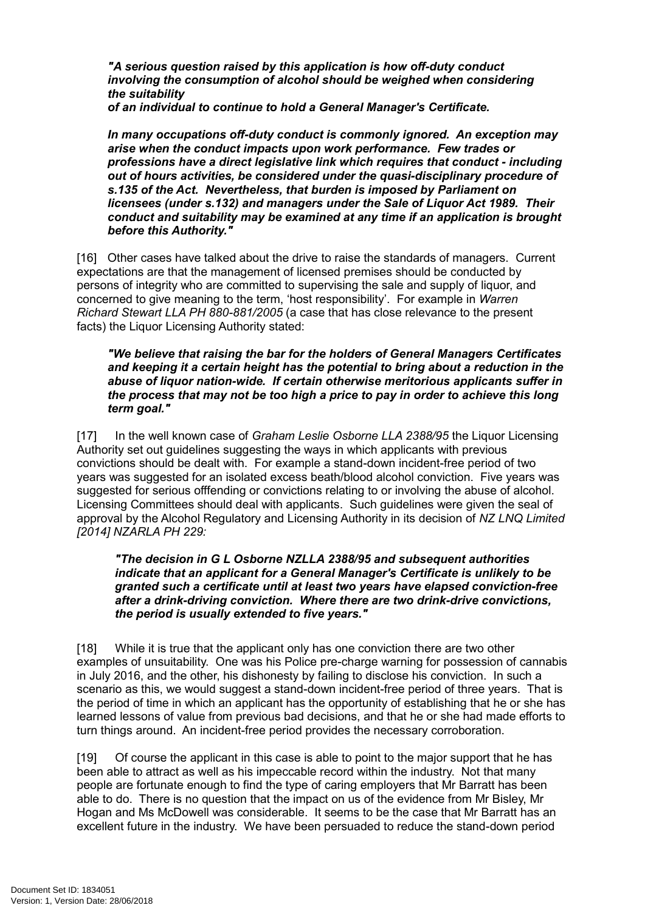*"A serious question raised by this application is how off-duty conduct involving the consumption of alcohol should be weighed when considering the suitability*

*of an individual to continue to hold a General Manager's Certificate.*

*In many occupations off-duty conduct is commonly ignored. An exception may arise when the conduct impacts upon work performance. Few trades or professions have a direct legislative link which requires that conduct - including out of hours activities, be considered under the quasi-disciplinary procedure of s.135 of the Act. Nevertheless, that burden is imposed by Parliament on licensees (under s.132) and managers under the Sale of Liquor Act 1989. Their conduct and suitability may be examined at any time if an application is brought before this Authority."*

[16] Other cases have talked about the drive to raise the standards of managers. Current expectations are that the management of licensed premises should be conducted by persons of integrity who are committed to supervising the sale and supply of liquor, and concerned to give meaning to the term, 'host responsibility'. For example in *Warren Richard Stewart LLA PH 880-881/2005* (a case that has close relevance to the present facts) the Liquor Licensing Authority stated:

*"We believe that raising the bar for the holders of General Managers Certificates and keeping it a certain height has the potential to bring about a reduction in the abuse of liquor nation-wide. If certain otherwise meritorious applicants suffer in the process that may not be too high a price to pay in order to achieve this long term goal."*

[17] In the well known case of *Graham Leslie Osborne LLA 2388/95* the Liquor Licensing Authority set out guidelines suggesting the ways in which applicants with previous convictions should be dealt with. For example a stand-down incident-free period of two years was suggested for an isolated excess beath/blood alcohol conviction. Five years was suggested for serious offfending or convictions relating to or involving the abuse of alcohol. Licensing Committees should deal with applicants. Such guidelines were given the seal of approval by the Alcohol Regulatory and Licensing Authority in its decision of *NZ LNQ Limited [2014] NZARLA PH 229:*

*"The decision in G L Osborne NZLLA 2388/95 and subsequent authorities indicate that an applicant for a General Manager's Certificate is unlikely to be granted such a certificate until at least two years have elapsed conviction-free after a drink-driving conviction. Where there are two drink-drive convictions, the period is usually extended to five years."*

[18] While it is true that the applicant only has one conviction there are two other examples of unsuitability. One was his Police pre-charge warning for possession of cannabis in July 2016, and the other, his dishonesty by failing to disclose his conviction. In such a scenario as this, we would suggest a stand-down incident-free period of three years. That is the period of time in which an applicant has the opportunity of establishing that he or she has learned lessons of value from previous bad decisions, and that he or she had made efforts to turn things around. An incident-free period provides the necessary corroboration.

[19] Of course the applicant in this case is able to point to the major support that he has been able to attract as well as his impeccable record within the industry. Not that many people are fortunate enough to find the type of caring employers that Mr Barratt has been able to do. There is no question that the impact on us of the evidence from Mr Bisley, Mr Hogan and Ms McDowell was considerable. It seems to be the case that Mr Barratt has an excellent future in the industry. We have been persuaded to reduce the stand-down period